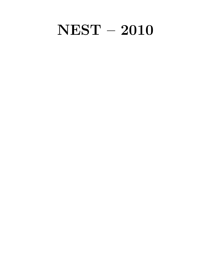# NEST – 2010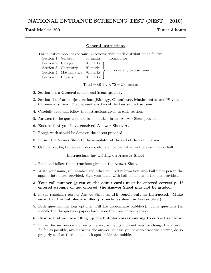NATIONAL ENTRANCE SCREENING TEST (NEST – 2010)

# Total Marks: 200 Time: 3 hours

| <b>General instructions</b>                     |                                                                                                                                                                                                                                                                                                                                    |  |  |  |  |  |  |  |
|-------------------------------------------------|------------------------------------------------------------------------------------------------------------------------------------------------------------------------------------------------------------------------------------------------------------------------------------------------------------------------------------|--|--|--|--|--|--|--|
|                                                 | 1. This question booklet contains 5 sections, with mark distribution as follows.<br>Compulsory<br>Section 1<br>General<br>60 marks<br>Section 2<br><b>Biology</b><br>70 marks<br>Section 3<br>Chemistry<br>70 marks<br>Choose any two sections<br>Section 4<br>Mathematics<br>70 marks<br>Section 5<br>$70 \rm \ marks$<br>Physics |  |  |  |  |  |  |  |
|                                                 | Total = $60 + 2 \times 70 = 200$ marks                                                                                                                                                                                                                                                                                             |  |  |  |  |  |  |  |
|                                                 | 2. Section 1 is a General section and is compulsory.                                                                                                                                                                                                                                                                               |  |  |  |  |  |  |  |
|                                                 | 3. Sections 2 to 5 are subject sections (Biology, Chemistry, Mathematics and Physics).<br>Choose any two. That is, omit any two of the four subject sections.                                                                                                                                                                      |  |  |  |  |  |  |  |
|                                                 | 4. Carefully read and follow the instructions given in each section.                                                                                                                                                                                                                                                               |  |  |  |  |  |  |  |
|                                                 | 5. Answers to the questions are to be marked in the Answer Sheet provided.                                                                                                                                                                                                                                                         |  |  |  |  |  |  |  |
|                                                 | 6. Ensure that you have received Answer Sheet A.                                                                                                                                                                                                                                                                                   |  |  |  |  |  |  |  |
|                                                 | 7. Rough work should be done on the sheets provided.                                                                                                                                                                                                                                                                               |  |  |  |  |  |  |  |
|                                                 | 8. Return the Answer Sheet to the invigilator at the end of the examination.                                                                                                                                                                                                                                                       |  |  |  |  |  |  |  |
|                                                 | 9. Calculators, log tables, cell phones, etc. are not permitted in the examination hall.                                                                                                                                                                                                                                           |  |  |  |  |  |  |  |
| <b>Instructions for writing on Answer Sheet</b> |                                                                                                                                                                                                                                                                                                                                    |  |  |  |  |  |  |  |
|                                                 | 1. Read and follow the instructions given on the Answer Sheet.                                                                                                                                                                                                                                                                     |  |  |  |  |  |  |  |
|                                                 | 2. Write your name, roll number and other required information with ball point pen in the<br>appropriate boxes provided. Sign your name with ball point pen in the box provided.                                                                                                                                                   |  |  |  |  |  |  |  |
|                                                 | 3. Your roll number (given on the admit card) must be entered correctly. If<br>entered wrongly or not entered, the Answer Sheet may not be graded.                                                                                                                                                                                 |  |  |  |  |  |  |  |
|                                                 | 4. In the remaining part of Answer Sheet use <b>HB</b> pencil only as instructed. Make<br>sure that the bubbles are filled properly (as shown in Answer Sheet).                                                                                                                                                                    |  |  |  |  |  |  |  |
|                                                 | 5. Each question has four options. Fill the appropriate bubble(s). Some questions (as<br>specified in the question paper) have more than one correct option.                                                                                                                                                                       |  |  |  |  |  |  |  |
|                                                 | 6. Ensure that you are filling up the bubbles corresponding to correct sections.                                                                                                                                                                                                                                                   |  |  |  |  |  |  |  |
|                                                 | 7. Fill in the answers only when you are sure that you do not need to change the answer.<br>As far as possible, avoid erasing the answer. In case you have to erase the answer, do so<br>properly so that there is no black spot inside the bubble.                                                                                |  |  |  |  |  |  |  |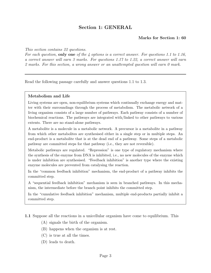# Section 1: GENERAL

# Marks for Section 1: 60

### This section contains 22 questions.

For each question, only one of the 4 options is a correct answer. For questions 1.1 to 1.16, a correct answer will earn 3 marks. For questions 1.17 to 1.22, a correct answer will earn 2 marks. For this section, a wrong answer or an unattempted question will earn 0 mark.

Read the following passage carefully and answer questions 1.1 to 1.3.

### Metabolism and Life

Living systems are open, non-equilibrium systems which continually exchange energy and matter with their surroundings through the process of metabolism. The metabolic network of a living organism consists of a large number of pathways. Each pathway consists of a number of biochemical reactions. The pathways are integrated with/linked to other pathways to various extents. There are no stand-alone pathways.

A metabolite is a molecule in a metabolic network. A precursor is a metabolite in a pathway from which other metabolites are synthesised either in a single step or in multiple steps. An end-product is a metabolite that is at the dead end of a pathway. Some steps of a metabolic pathway are committed steps for that pathway (i.e., they are not reversible).

Metabolic pathways are regulated. "Repression" is one type of regulatory mechanism where the synthesis of the enzyme from DNA is inhibited, i.e., no new molecules of the enzyme which is under inhibition are synthesised. "Feedback inhibition" is another type where the existing enzyme molecules are prevented from catalysing the reaction.

In the "common feedback inhibition" mechanism, the end-product of a pathway inhibits the committed step.

A "sequential feedback inhibition" mechanism is seen in branched pathways. In this mechanism, the intermediate before the branch point inhibits the committed step.

In the "cumulative feedback inhibition" mechanism, multiple end-products partially inhibit a committed step.

1.1 Suppose all the reactions in a unicellular organism have come to equilibrium. This

- (A) signals the birth of the organism.
- (B) happens when the organism is at rest.
- (C) is true at all the times.
- (D) leads to death.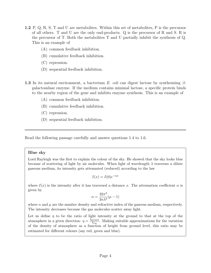- 1.2 P, Q, R, S, T and U are metabolites. Within this set of metabolites, P is the precursor of all others. T and U are the only end-products. Q is the precursor of R and S. R is the precursor of T. Both the metabolites T and U partially inhibit the synthesis of Q. This is an example of
	- (A) common feedback inhibition.
	- (B) cumulative feedback inhibition.
	- (C) repression.
	- (D) sequential feedback inhibition.
- **1.3** In its natural environment, a bacterium E. coli can digest lactose by synthesising  $\beta$ galactosidase enzyme. If the medium contains minimal lactose, a specific protein binds to the nearby region of the gene and inhibits enzyme synthesis. This is an example of
	- (A) common feedback inhibition.
	- (B) cumulative feedback inhibition.
	- (C) repression.
	- (D) sequential feedback inhibition.

Read the following passage carefully and answer questions 1.4 to 1.6.

# Blue sky

Lord Rayleigh was the first to explain the colour of the sky. He showed that the sky looks blue because of scattering of light by air molecules. When light of wavelength  $\lambda$  traverses a dilute gaseous medium, its intensity gets attenuated (reduced) according to the law

$$
I(x) = I(0)e^{-\alpha x}
$$

where  $I(x)$  is the intensity after it has traversed a distance x. The attenuation coefficient  $\alpha$  is given by

$$
\alpha = \frac{32\pi^3}{3n\lambda^4}(\mu - 1)
$$

where n and  $\mu$  are the number density and refractive index of the gaseous medium, respectively. The intensity decreases because the gas molecules scatter away light.

Let us define  $\eta$  to be the ratio of light intensity at the ground to that at the top of the atmosphere in a given direction:  $\eta = \frac{I_{\text{ground}}}{L}$  $\frac{I_{\text{round}}}{I_{\text{top}}}$ . Making suitable approximations for the variation of the density of atmosphere as a function of height from ground level, this ratio may be estimated for different colours (say red, green and blue).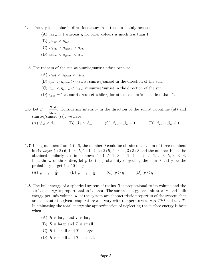- 1.4 The sky looks blue in directions away from the sun mainly because
	- (A)  $\eta_{\text{blue}} \simeq 1$  whereas  $\eta$  for other colours is much less than 1.
	- (B)  $\mu_{blue} < \mu_{red}$ .
	- (C)  $\alpha_{\text{blue}} > \alpha_{\text{green}} > \alpha_{\text{red}}$ .
	- (D)  $\alpha_{blue} < \alpha_{green} < \alpha_{red}$ .
- 1.5 The redness of the sun at sunrise/sunset arises because
	- (A)  $\alpha_{\text{red}} > \alpha_{\text{green}} > \alpha_{\text{blue}}$ .
	- (B)  $\eta_{\text{red}} > \eta_{\text{green}} > \eta_{\text{blue}}$  at sunrise/sunset in the direction of the sun.
	- (C)  $\eta_{\text{red}} < \eta_{\text{green}} < \eta_{\text{blue}}$  at sunrise/sunset in the direction of the sun.
	- (D)  $\eta_{\text{red}} = 1$  at sunrise/sunset while  $\eta$  for other colours is much less than 1.
- **1.6** Let  $\beta = \frac{\eta_{\text{red}}}{\eta_{\text{red}}}$  $\eta_{\rm blue}$ . Considering intensity in the direction of the sun at noontime (nt) and sunrise/sunset (ss), we have
	- (A)  $\beta_{\rm nt} < \beta_{\rm ss}$ . (B)  $\beta_{\rm nt} > \beta_{\rm ss}$ . (C)  $\beta_{\rm nt} = \beta_{\rm ss} = 1$ . (D)  $\beta_{\rm nt} = \beta_{\rm ss} \neq 1$ .
- 1.7 Using numbers from 1 to 6, the number 9 could be obtained as a sum of three numbers in six ways:  $1+2+6$ ,  $1+3+5$ ,  $1+4+4$ ,  $2+2+5$ ,  $2+3+4$ ,  $3+3+3$  and the number 10 can be obtained similarly also in six ways:  $1+4+5$ ,  $1+3+6$ ,  $2+4+4$ ,  $2+2+6$ ,  $2+3+5$ ,  $3+3+4$ . In a throw of three dice, let p be the probability of getting the sum 9 and q be the probability of getting 10 be  $q$ . Then
	- (A)  $p = q = \frac{1}{36}$  (B)  $p = q = \frac{1}{6}$  $\frac{1}{6}$  (C)  $p > q$  (D)  $p < q$
- 1.8 The bulk energy of a spherical system of radius  $R$  is proportional to its volume and the surface energy is proportional to its area. The surface energy per unit area,  $\sigma$ , and bulk energy per unit volume,  $u$ , of the system are characteristic properties of the system that are constant at a given temperature and vary with temperature as  $\sigma \propto T^{1/2}$  and  $u \propto T$ . In estimating the total energy the approximation of neglecting the surface energy is best when
	- $(A)$  R is large and T is large.
	- (B)  $R$  is large and  $T$  is small.
	- $(C)$  R is small and T is large.
	- (D)  $R$  is small and  $T$  is small.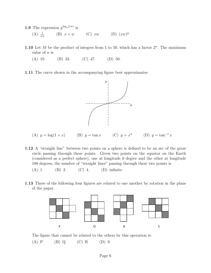- **1.9** The expression  $y^{\log_y(xw)}$  is
	- $(A) \frac{1}{xw}$ (B)  $x + w$  (C)  $xw$  (D)  $(xw)^y$
- 1.10 Let M be the product of integers from 1 to 50, which has a factor  $2^n$ . The maximum value of  $n$  is
	- (A) 19. (B) 33. (C) 47. (D) 50.
- 1.11 The curve shown in the accompanying figure best approximates



- (A)  $y = \log(1 + x)$  (B)  $y = \tan x$ 4 (D)  $y = \tan^{-1} x$
- 1.12 A "straight line" between two points on a sphere is defined to be an arc of the great circle passing through these points. Given two points on the equator on the Earth (considered as a perfect sphere), one at longitude 0 degree and the other at longitude 180 degrees, the number of "straight lines" passing through these two points is
	- (A) 1. (B) 2. (C) 4. (D) infinite.
- 1.13 Three of the following four figures are related to one another by rotation in the plane of the paper.



The figure that cannot be related to the others by this operation is:

 $(A)$  P  $(B)$  Q  $(C)$  R  $(D)$  S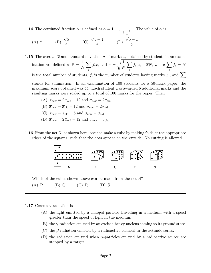**1.14** The continued fraction  $\alpha$  is defined as  $\alpha = 1 + \alpha$ 1  $1 + \frac{1}{1 + \cdots}$ . The value of  $\alpha$  is

 $(A)$  2. √ 5 2 . (C) √  $5 + 1$ 2 . (D) √  $5 - 1$ 2 .

**1.15** The average  $\bar{x}$  and standard deviation  $\sigma$  of marks  $x_i$  obtained by students in an examination are defined as  $\bar{x}$  = 1 N  $\sum$ i  $f_ix_i$  and  $\sigma =$  $\sqrt{1}$ N  $\sum$ i  $f_i(x_i-\overline{x})^2$ , where  $\sum$ i  $f_i = N$ is the total number of students,  $f_i$  is the number of students having marks  $x_i$ , and  $\sum$ stands for summation. In an examination of 100 students for a 50-mark paper, the maximum score obtained was 44. Each student was awarded 6 additional marks and the resulting marks were scaled up to a total of 100 marks for the paper. Then

- (A)  $\bar{x}_{\text{new}} = 2 \bar{x}_{\text{old}} + 12$  and  $\sigma_{\text{new}} = 2 \sigma_{\text{old}}$
- (B)  $\bar{x}_{\text{new}} = \bar{x}_{\text{old}} + 12$  and  $\sigma_{\text{new}} = 2\sigma_{\text{old}}$
- (C)  $\bar{x}_{\text{new}} = \bar{x}_{\text{old}} + 6$  and  $\sigma_{\text{new}} = \sigma_{\text{old}}$
- (D)  $\bar{x}_{\text{new}} = 2 \bar{x}_{\text{old}} + 12$  and  $\sigma_{\text{new}} = \sigma_{\text{old}}$
- 1.16 From the net N, as shown here, one can make a cube by making folds at the appropriate edges of the squares, such that the dots appear on the outside. No cutting is allowed.



Which of the cubes shown above can be made from the net N?

 $(A)$  P  $(B)$  Q  $(C)$  R  $(D)$  S

#### 1.17 Cerenkov radiation is

- (A) the light emitted by a charged particle travelling in a medium with a speed greater than the speed of light in the medium.
- (B) the  $\gamma$ -radiation emitted by an excited heavy nucleus coming to its ground state.
- $(C)$  the  $\beta$ -radiation emitted by a radioactive element in the actinide series.
- (D) the radiation emitted when  $\alpha$ -particles emitted by a radioactive source are stopped by a target.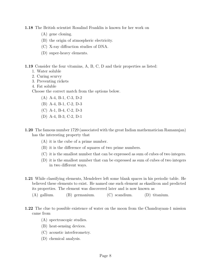1.18 The British scientist Rosalind Franklin is known for her work on

- (A) gene cloning.
- (B) the origin of atmospheric electricity.
- (C) X-ray diffraction studies of DNA.
- (D) super-heavy elements.

1.19 Consider the four vitamins, A, B, C, D and their properties as listed:

- 1. Water soluble
- 2. Curing scurvy
- 3. Preventing rickets
- 4. Fat soluble

Choose the correct match from the options below.

- (A) A-4, B-1, C-3, D-2
- (B) A-4, B-1, C-2, D-3
- (C) A-1, B-4, C-2, D-3
- (D) A-4, B-3, C-2, D-1
- 1.20 The famous number 1729 (associated with the great Indian mathematician Ramanujan) has the interesting property that
	- (A) it is the cube of a prime number.
	- (B) it is the difference of squares of two prime numbers.
	- (C) it is the smallest number that can be expressed as sum of cubes of two integers.
	- (D) it is the smallest number that can be expressed as sum of cubes of two integers in two different ways.
- 1.21 While classifying elements, Mendeleev left some blank spaces in his periodic table. He believed these elements to exist. He named one such element as ekasilicon and predicted its properties. The element was discovered later and is now known as
	- (A) gallium. (B) germanium. (C) scandium. (D) titanium.
- 1.22 The clue to possible existence of water on the moon from the Chandrayaan-1 mission came from
	- (A) spectroscopic studies.
	- (B) heat-sensing devices.
	- (C) acoustic interferometry.
	- (D) chemical analysis.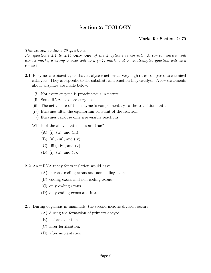# Section 2: BIOLOGY

# Marks for Section 2: 70

# This section contains 20 questions.

For questions 2.1 to 2.15 only one of the 4 options is correct. A correct answer will earn 3 marks, a wrong answer will earn  $(-1)$  mark, and an unattempted question will earn 0 mark.

- 2.1 Enzymes are biocatalysts that catalyse reactions at very high rates compared to chemical catalysts. They are specific to the substrate and reaction they catalyse. A few statements about enzymes are made below:
	- (i) Not every enzyme is proteinacious in nature.
	- (ii) Some RNAs also are enzymes.
	- (iii) The active site of the enzyme is complementary to the transition state.
	- (iv) Enzymes alter the equilibrium constant of the reaction.
	- (v) Enzymes catalyse only irreversible reactions.

Which of the above statements are true?

- $(A)$  (i), (ii), and (iii).
- $(B)$  (ii), (iii), and (iv).
- $(C)$  (iii), (iv), and (v).
- (D) (i), (ii), and (v).

2.2 An mRNA ready for translation would have

- (A) introns, coding exons and non-coding exons.
- (B) coding exons and non-coding exons.
- (C) only coding exons.
- (D) only coding exons and introns.

2.3 During oogenesis in mammals, the second meiotic division occurs

- (A) during the formation of primary oocyte.
- (B) before ovulation.
- (C) after fertilisation.
- (D) after implantation.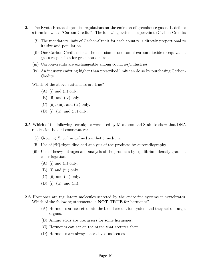- 2.4 The Kyoto Protocol specifies regulations on the emission of greenhouse gases. It defines a term known as "Carbon-Credits". The following statements pertain to Carbon-Credits:
	- (i) The mandatory limit of Carbon-Credit for each country is directly proportional to its size and population.
	- (ii) One Carbon-Credit defines the emission of one ton of carbon dioxide or equivalent gases responsible for greenhouse effect.
	- (iii) Carbon-credits are exchangeable among countries/industries.
	- (iv) An industry emitting higher than prescribed limit can do so by purchasing Carbon-Credits.

Which of the above statements are true?

- (A) (i) and (ii) only.
- (B) (ii) and (iv) only.
- $(C)$  (ii), (iii), and (iv) only.
- $(D)$  (i), (ii), and (iv) only.
- 2.5 Which of the following techniques were used by Messelson and Stahl to show that DNA replication is semi-conservative?
	- (i) Growing E. coli in defined synthetic medium.
	- (ii) Use of  $\rm \vert^{3}H\vert$ -thymidine and analysis of the products by autoradiography.
	- (iii) Use of heavy nitrogen and analysis of the products by equilibrium density gradient centrifugation.
		- (A) (i) and (ii) only.
		- (B) (i) and (iii) only.
		- (C) (ii) and (iii) only.
		- $(D)$  (i), (ii), and (iii).
- 2.6 Hormones are regulatory molecules secreted by the endocrine systems in vertebrates. Which of the following statements is **NOT TRUE** for hormones?
	- (A) Hormones are secreted into the blood circulation system and they act on target organs.
	- (B) Amino acids are precursors for some hormones.
	- (C) Hormones can act on the organ that secretes them.
	- (D) Hormones are always short-lived molecules.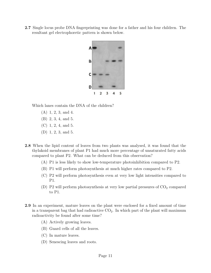2.7 Single locus probe DNA fingerprinting was done for a father and his four children. The resultant gel electrophoretic pattern is shown below.



Which lanes contain the DNA of the children?

- (A) 1, 2, 3, and 4.
- (B) 2, 3, 4, and 5.
- (C) 1, 2, 4, and 5.
- (D) 1, 2, 3, and 5.
- 2.8 When the lipid content of leaves from two plants was analysed, it was found that the thylakoid membranes of plant P1 had much more percentage of unsaturated fatty acids compared to plant P2. What can be deduced from this observation?
	- (A) P1 is less likely to show low-temperature photoinhibition compared to P2.
	- (B) P1 will perform photosynthesis at much higher rates compared to P2.
	- (C) P2 will perform photosynthesis even at very low light intensities compared to P1.
	- (D) P2 will perform photosynthesis at very low partial pressures of  $CO<sub>2</sub>$  compared to P1.
- 2.9 In an experiment, mature leaves on the plant were enclosed for a fixed amount of time in a transparent bag that had radioactive  $CO<sub>2</sub>$ . In which part of the plant will maximum radioactivity be found after some time?
	- (A) Actively growing leaves.
	- (B) Guard cells of all the leaves.
	- (C) In mature leaves.
	- (D) Senescing leaves and roots.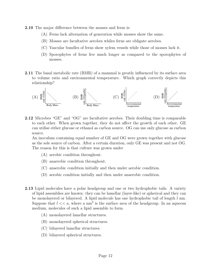- 2.10 The major difference between the mosses and ferns is:
	- (A) Ferns lack alternation of generation while mosses show the same.
	- (B) Mosses are facultative aerobes whiles ferns are obligate aerobes.
	- (C) Vascular bundles of ferns show xylem vessels while those of mosses lack it.
	- (D) Sporophytes of ferns live much longer as compared to the sporophytes of mosses.
- 2.11 The basal metabolic rate (BMR) of a mammal is greatly influenced by its surface area to volume ratio and environmental temperature. Which graph correctly depicts this relationship?



2.12 Microbes "GE" and "OG" are facultative aerobes. Their doubling time is comparable to each other. When grown together, they do not affect the growth of each other. GE can utilise either glucose or ethanol as carbon source. OG can use only glucose as carbon source.

An inoculum containing equal number of GE and OG were grown together with glucose as the sole source of carbon. After a certain duration, only GE was present and not OG. The reason for this is that culture was grown under

- (A) aerobic condition throughout.
- (B) anaerobic condition throughout.
- (C) anaerobic condition initially and then under aerobic condition.
- (D) aerobic condition initially and then under anaerobic condition.
- 2.13 Lipid molecules have a polar headgroup and one or two hydrophobic tails. A variety of lipid assemblies are known: they can be lamellar (layer-like) or spherical and they can be monolayered or bilayered. A lipid molecule has one hydrophobic tail of length l nm. Suppose that  $l \ll a$ , where a nm<sup>2</sup> is the surface area of the headgroup. In an aqueous medium, molecules of such a lipid assemble to form
	- (A) monolayered lamellar structures.
	- (B) monolayered spherical structures.
	- (C) bilayered lamellar structures.
	- (D) bilayered spherical structures.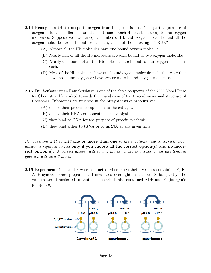- 2.14 Hemoglobin (Hb) transports oxygen from lungs to tissues. The partial pressure of oxygen in lungs is different from that in tissues. Each Hb can bind to up to four oxygen molecules. Suppose we have an equal number of Hb and oxygen molecules and all the oxygen molecules are in bound form. Then, which of the following is TRUE?
	- (A) Almost all the Hb molecules have one bound oxygen molecule.
	- (B) Nearly half of all the Hb molecules are each bound to two oxygen molecules.
	- (C) Nearly one-fourth of all the Hb molecules are bound to four oxygen molecules each.
	- (D) Most of the Hb molecules have one bound oxygen molecule each; the rest either have no bound oxygen or have two or more bound oxygen molecules.
- 2.15 Dr. Venkataraman Ramakrishnan is one of the three recipients of the 2009 Nobel Prize for Chemistry. He worked towards the elucidation of the three-dimensional structure of ribosomes. Ribosomes are involved in the biosynthesis of proteins and
	- (A) one of their protein components is the catalyst.
	- (B) one of their RNA components is the catalyst.
	- (C) they bind to DNA for the purpose of protein synthesis.
	- (D) they bind either to tRNA or to mRNA at any given time.

For questions 2.16 to 2.20 one or more than one of the 4 options may be correct. Your answer is regarded correct only if you choose all the correct option(s) and no incorrect option(s). A correct answer will earn 5 marks, a wrong answer or an unattempted question will earn 0 mark.

**2.16** Experiments 1, 2, and 3 were conducted wherein synthetic vesicles containing  $F_0$ - $F_1$ ATP synthase were prepared and incubated overnight in a tube. Subsequently, the vesicles were transferred to another tube which also contained ADP and P<sup>i</sup> (inorganic phosphate).

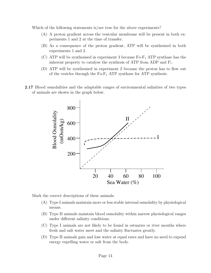Which of the following statements is/are true for the above experiments?

- (A) A proton gradient across the vesicular membrane will be present in both experiments 1 and 2 at the time of transfer.
- (B) As a consequence of the proton gradient, ATP will be synthesised in both experiments 1 and 2.
- (C) ATP will be synthesised in experiment 3 because  $F_0-F_1$  ATP synthase has the inherent property to catalyse the synthesis of ATP from ADP and P<sup>i</sup> .
- (D) ATP will be synthesised in experiment 2 because the proton has to flow out of the vesicles through the  $Fo-F_1$  ATP synthase for ATP synthesis.
- 2.17 Blood osmolalities and the adaptable ranges of environmental salinities of two types of animals are shown in the graph below.



Mark the correct descriptions of these animals.

- (A) Type I animals maintain more or less stable internal osmolality by physiological means.
- (B) Type II animals maintain blood osmolality within narrow physiological ranges under different salinity conditions.
- (C) Type I animals are not likely to be found in estuaries or river mouths where fresh and salt water meet and the salinity fluctuates greatly.
- (D) Type II animals gain and lose water at equal rates and have no need to expend energy expelling water or salt from the body.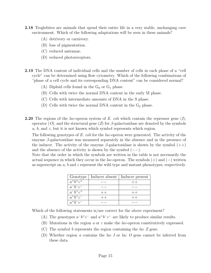- 2.18 Troglobites are animals that spend their entire life in a very stable, unchanging cave environment. Which of the following adaptations will be seen in these animals?
	- (A) detrivory or carnivory.
	- (B) loss of pigmentation.
	- (C) reduced antennae.
	- (D) reduced photoreceptors.
- 2.19 The DNA content of individual cells and the number of cells in each phase of a "cell cycle" can be determined using flow cytometry. Which of the following combinations of "phase of a cell cycle and its corresponding DNA content" can be considered normal?
	- (A) Diploid cells found in the  $G_0$  or  $G_1$  phase.
	- (B) Cells with twice the normal DNA content in the early M phase.
	- (C) Cells with intermediate amounts of DNA in the S phase.
	- (D) Cells with twice the normal DNA content in the  $G_2$  phase.
- **2.20** The regions of the *lac*-operon system of E. coli which contain the repressor gene  $(I)$ , operator  $(O)$ , and the structural gene  $(Z)$  for  $\beta$ -galactosidase are denoted by the symbols  $a, b,$  and  $c,$  but it is not known which symbol represents which region.

The following genotypes of E. coli for the lac-operon were generated. The activity of the enzyme  $\beta$ -galactosidase was measured separately in the absence and in the presence of the inducer. The activity of the enzyme  $\beta$ -galactosidase is shown by the symbol  $(++)$ and the absence of the activity is shown by the symbol  $(--)$ .

Note that the order in which the symbols are written in the table is not necessarily the actual sequence in which they occur in the lac-operon. The symbols  $(+)$  and  $(-)$  written as superscript on a, b and c represent the wild type and mutant phenotypes, respectively.

| Genotype               |      | Inducer absent   Inducer present |
|------------------------|------|----------------------------------|
| $a^+b^+c^+$            |      | $++$                             |
| $a^-b^-c^-$            |      |                                  |
| $a^-b^+c^+$            | $++$ | $++$                             |
| $a^+b^+\overline{c^-}$ | $++$ | $++$                             |
| $a^+b^-c^-$            |      |                                  |

Which of the following statements is/are correct for the above experiment?

- (A) The genotypes  $a^-b^+c^-$  and  $a^+b^-c^-$  are likely to produce similar results.
- (B) Mutations in the region a or c make the lac-operon constitutively expressed.
- (C) The symbol b represents the region containing the  $lac Z$  gene.
- (D) Whether region a contains the lac I or lac O gene cannot be inferred from these data.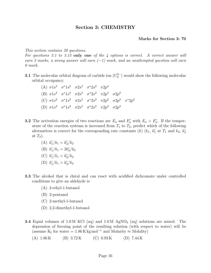# Section 3: CHEMISTRY

#### Marks for Section 3: 70

This section contains 20 questions.

For questions 3.1 to 3.15 only one of the  $4$  options is correct. A correct answer will earn 3 marks, a wrong answer will earn  $(-1)$  mark, and an unattempted question will earn 0 mark.

**3.1** The molecular orbital diagram of carbide ion  $(\mathbb{C}_2^{2-})$  would show the following molecular orbital occupancy.

| (A) $\sigma 1s^2$ $\sigma^* 1s^2$ $\sigma 2s^2$ $\sigma^* 2s^2$ $\pi 2p^4$                            |  |  |  |
|-------------------------------------------------------------------------------------------------------|--|--|--|
| (B) $\sigma 1s^2$ $\sigma^* 1s^2$ $\sigma 2s^2$ $\sigma^* 2s^2$ $\pi 2p^4$ $\sigma 2p^2$              |  |  |  |
| (C) $\sigma 1s^2$ $\sigma^* 1s^2$ $\sigma 2s^2$ $\sigma^* 2s^2$ $\pi 2p^2$ $\sigma 2p^2$ $\pi^* 2p^2$ |  |  |  |
| (D) $\sigma 1s^2$ $\sigma^* 1s^2$ $\sigma 2s^2$ $\sigma^* 2s^2$ $\pi 2p^3$ $\sigma 2p^3$              |  |  |  |

- **3.2** The activation energies of two reactions are  $E_a$  and  $E'_a$  with  $E_a > E'_a$ . If the temperature of the reaction systems is increased from  $T_1$  to  $T_2$ , predict which of the following alternatives is correct for the corresponding rate constants (k) ( $k_1$ ,  $k'_1$  at  $T_1$  and  $k_2$ ,  $k'_2$ at  $T_2$ ).
	- (A)  $k'_1/k_1 = k'_2/k_2$
	- (B)  $k'_1/k_1 = 2k'_2/k_2$
	- (C)  $k'_1/k_1 < k'_2/k_2$
	- (D)  $k'_1/k_1 > k'_2/k_2$
- 3.3 The alcohol that is chiral and can react with acidified dichromate under controlled conditions to give an aldehyde is
	- (A) 2-ethyl-1-butanol
	- (B) 2-pentanol
	- (C) 2-methyl-1-butanol
	- (D) 2,2-dimethyl-1-butanol
- **3.4** Equal volumes of 1.0 M KCl (aq) and  $1.0 M$  AgNO<sub>3</sub> (aq) solutions are mixed. The depression of freezing point of the resulting solution (with respect to water) will be (assume  $K_f$  for water = 1.86 K kg mol<sup>-1</sup> and Molarity  $\approx$  Molality)
	- (A)  $1.86 \text{ K}$  (B)  $3.72 \text{ K}$  (C)  $0.93 \text{ K}$  (D)  $7.44 \text{ K}$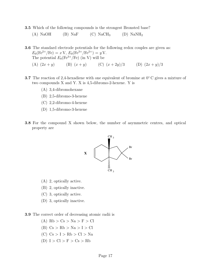3.5 Which of the following compounds is the strongest Bronsted base?

(A) NaOH (B) NaF (C) NaCH<sub>3</sub> (D) NaNH<sub>2</sub>

3.6 The standard electrode potentials for the following redox couples are given as:  $E_0(\text{Fe}^{2+}/\text{Fe}) = x \text{ V}, E_0(\text{Fe}^{3+}/\text{Fe}^{2+}) = y \text{ V}.$ The potential  $E_0(Fe^{3+}/Fe)$  (in V) will be

(A)  $(2x + y)$  (B)  $(x + y)$  (C)  $(x + 2y)/3$  (D)  $(2x + y)/3$ 

- 3.7 The reaction of 2,4-hexadiene with one equivalent of bromine at 0<sup>◦</sup> C gives a mixture of two compounds  $X$  and  $Y$ .  $X$  is 4,5-dibromo-2-hexene.  $Y$  is
	- (A) 3,4-dibromohexane
	- (B) 2,5-dibromo-3-hexene
	- (C) 2,2-dibromo-4-hexene
	- (D) 1,5-dibromo-3-hexene
- 3.8 For the compound X shown below, the number of asymmetric centres, and optical property are



- (A) 2, optically active.
- (B) 2, optically inactive.
- (C) 3, optically active.
- (D) 3, optically inactive.
- 3.9 The correct order of decreasing atomic radii is
	- $(A)$  Rb  $>$  Cs  $>$  Na  $>$  F  $>$  Cl
	- (B)  $Cs > Rb > Na > I > Cl$
	- $(C)$  Cs  $> I$   $> Rb$   $> Cl$   $> Na$
	- (D)  $I > Cl > F > Cs > Rb$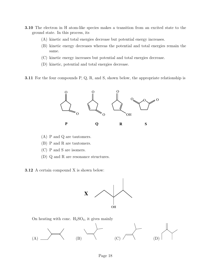- 3.10 The electron in H atom-like species makes a transition from an excited state to the ground state. In this process, its
	- (A) kinetic and total energies decrease but potential energy increases.
	- (B) kinetic energy decreases whereas the potential and total energies remain the same.
	- (C) kinetic energy increases but potential and total energies decrease.
	- (D) kinetic, potential and total energies decrease.

**3.11** For the four compounds P, Q, R, and S, shown below, the appropriate relationship is



- (A) P and Q are tautomers.
- (B) P and R are tautomers.
- (C) P and S are isomers.
- (D) Q and R are resonance structures.
- 3.12 A certain compound X is shown below:



On heating with conc.  $H_2SO_4$ , it gives mainly

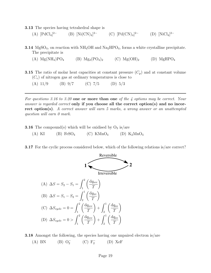3.13 The species having tetrahedral shape is

- $(A)$  [PdCl<sub>4</sub>]<sup>2-</sup>  $(B)$  [Ni $(CN)_4$ ]<sup>2−</sup> 2<sup>-</sup> (C)  $[{\rm Pd(CN)}_4]$ <sup>2-</sup> (D)  $[{\rm NiCl}_4]$ <sup>2-</sup>
- **3.14** MgSO<sub>4</sub>, on reaction with NH<sub>4</sub>OH and Na<sub>2</sub>HPO<sub>4</sub>, forms a white crystalline precipitate. The precipitate is
	- (A)  $Mg(NH_4)PO_4$  (B)  $Mg_3(PO_4)_2$  (C)  $Mg(OH)_2$  (D)  $MgHPO_4$
- **3.15** The ratio of molar heat capacities at constant pressure  $(C_p)$  and at constant volume  $(C_v)$  of nitrogen gas at ordinary temperatures is close to
	- (A)  $11/9$  (B)  $9/7$  (C)  $7/5$  (D)  $5/3$

For questions 3.16 to 3.20 one or more than one of the 4 options may be correct. Your answer is regarded correct only if you choose all the correct option(s) and no incorrect option(s). A correct answer will earn 5 marks, a wrong answer or an unattempted question will earn 0 mark.

**3.16** The compound(s) which will be oxidised by  $O_3$  is/are

(A) KI (B)  $\text{FeSO}_4$  (C) KMnO<sub>4</sub> (D) K<sub>2</sub>MnO<sub>4</sub>

3.17 For the cyclic process considered below, which of the following relations is/are correct?



3.18 Amongst the following, the species having one unpaired electron is/are (A) BN (B)  $O_2^-$  (C)  $F_2^-$ (D) XeF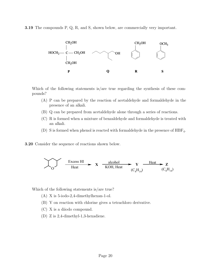3.19 The compounds P, Q, R, and S, shown below, are commercially very important.



Which of the following statements is/are true regarding the synthesis of these compounds?

- (A) P can be prepared by the reaction of acetaldehyde and formaldehyde in the presence of an alkali.
- (B) Q can be prepared from acetaldehyde alone through a series of reactions.
- (C) R is formed when a mixture of benzaldehyde and formaldehyde is treated with an alkali.
- (D) S is formed when phenol is reacted with formaldehyde in the presence of  $HBF_4$ .
- 3.20 Consider the sequence of reactions shown below.

$$
\sum_{O}\frac{\text{Excess HI}}{\text{Heat}} \qquad \textbf{X} \quad \frac{\text{alcohol}}{\text{KOH, Heat}} \qquad \textbf{Y} \quad \frac{\text{Heat}}{(C_{8}H_{14})} \qquad \textbf{Z} \quad (C_{8}H_{14})
$$

Which of the following statements is/are true?

- (A) X is 5-iodo-2,4-dimethylhexan-1-ol.
- (B) Y on reaction with chlorine gives a tetrachloro derivative.
- (C) X is a diiodo compound.
- (D) Z is 2,4-dimethyl-1,3-hexadiene.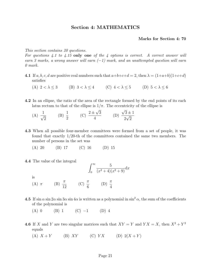# Section 4: MATHEMATICS

#### Marks for Section 4: 70

This section contains 20 questions.

For questions  $4.1$  to  $4.15$  only one of the  $4$  options is correct. A correct answer will earn 3 marks, a wrong answer will earn  $(-1)$  mark, and an unattempted question will earn 0 mark.

- 4.1 If a, b, c, d are positive real numbers such that  $a+b+c+d=2$ , then  $\lambda = (1+a+b)(1+c+d)$ satisfies
	- (A)  $2 < \lambda < 3$  (B)  $3 < \lambda < 4$  (C)  $4 < \lambda < 5$  (D)  $5 < \lambda < 6$
- 4.2 In an ellipse, the ratio of the area of the rectangle formed by the end points of its each latus rectum to that of the ellipse is  $1/\pi$ . The eccentricity of the ellipse is √ √
	- $(A) \frac{1}{\sqrt{2}}$ 2  $(B) \frac{1}{2}$ 2  $(C) \frac{2\pm}{}$ 3 4 (D)  $3 \pm 1$ 2 √ 2
- 4.3 When all possible four-member committees were formed from a set of people, it was found that exactly 1/20-th of the committees contained the same two members. The number of persons in the set was
	- (A) 20 (B) 17 (C) 16 (D) 15
- 4.4 The value of the integral

$$
\int_0^\infty \frac{5}{(x^2+4)(x^2+9)} \mathrm{d}x
$$

is

- (A)  $\pi$  (B)  $\frac{\pi}{16}$ 12 (C)  $\frac{\pi}{c}$ 6  $(D) \frac{\pi}{4}$ 4
- 4.5 If  $\sin \alpha \sin 2\alpha \sin 3\alpha \sin 4\alpha$  is written as a polynomial in  $\sin^2 \alpha$ , the sum of the coefficients of the polynomial is
	- (A) 0 (B) 1 (C)  $-1$  (D) 4
- **4.6** If X and Y are two singular matrices such that  $XY = Y$  and  $YX = X$ , then  $X^2 + Y^2$ equals
	- (A)  $X + Y$  (B)  $XY$  (C)  $YX$  (D)  $2(X + Y)$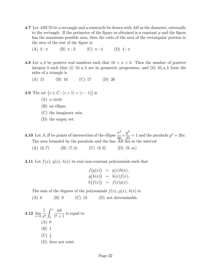- 4.7 Let ABCD be a rectangle and a semicircle be drawn with AB as the diameter, externally to the rectangle. If the perimeter of the figure so obtained is a constant  $p$  and the figure has the maximum possible area, then the ratio of the area of the rectangular portion to the area of the rest of the figure is
	- (A)  $2 : \pi$  (B)  $\pi : 2$  (C)  $\pi : 4$  (D)  $4 : \pi$
- 4.8 Let a, b be positive real numbers such that  $10 < a < b$ . Then the number of positive integers b such that (i)  $10, a, b$  are in geometric progression, and (ii)  $10, a, b$  form the sides of a triangle is
	- (A) 15 (B) 16 (C) 17 (D) 26
- 4.9 The set  $\{z \in \mathbb{C} : |z+1| = |z-1|\}$  is
	- (A) a circle.
	- (B) an ellipse.
	- (C) the imaginary axis.
	- (D) the empty set.

**4.10** Let A, B be points of intersection of the ellipse  $\frac{x^2}{20}$ 36  $^{+}$  $y^2$ 25  $= 1$  and the parabola  $y^2 = 20x$ . The area bounded by the parabola and the line  $\widetilde{AB}$  lies in the interval

- (A)  $(6, 7)$  (B)  $(7, 8)$  (C)  $(8, 9)$  (D)  $(9, \infty)$
- 4.11 Let  $f(x)$ ,  $g(x)$ ,  $h(x)$  be real non-constant polynomials such that

$$
f(g(x)) = g(x)h(x),
$$
  
\n
$$
g(h(x)) = h(x)f(x),
$$
  
\n
$$
h(f(x)) = f(x)g(x).
$$

The sum of the degrees of the polynomials  $f(x)$ ,  $g(x)$ ,  $h(x)$  is

 $(A) 6$  (B) 9 (C) 12 (D) not determinable.

**4.12** 
$$
\lim_{x \to 0} \frac{1}{x^2} \int_0^x \frac{t dt}{t^4 + 1}
$$
 is equal to  
\n(A) 0  
\n(B) 1  
\n(C)  $\frac{1}{2}$   
\n(D) does not exist.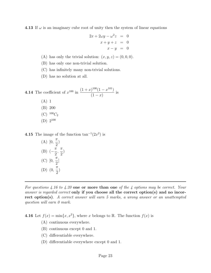4.13 If  $\omega$  is an imaginary cube root of unity then the system of linear equations

$$
2x + 2\omega y - \omega^2 z = 0
$$
  

$$
x + y + z = 0
$$
  

$$
x - y = 0
$$

- (A) has only the trivial solution:  $(x, y, z) = (0, 0, 0)$ .
- (B) has only one non-trivial solution.
- (C) has infinitely many non-trivial solutions.
- (D) has no solution at all.

**4.14** The coefficient of 
$$
x^{100}
$$
 in  $\frac{(1+x)^{100}(1-x^{101})}{(1-x)}$  is  
\n(A) 1  
\n(B) 200  
\n(C)  $^{100}C_2$   
\n(D)  $2^{100}$ 

**4.15** The image of the function  $tan^{-1}(2x^2)$  is

(A) 
$$
[0, \frac{\pi}{2})
$$
  
\n(B)  $\left(-\frac{\pi}{2}, \frac{\pi}{2}\right)$   
\n(C)  $[0, \frac{\pi}{2}]$   
\n(D)  $\left(0, \frac{\pi}{2}\right)$ 

For questions 4.16 to 4.20 one or more than one of the 4 options may be correct. Your answer is regarded correct only if you choose all the correct option(s) and no incorrect option(s). A correct answer will earn 5 marks, a wrong answer or an unattempted question will earn 0 mark.

4.16 Let  $f(x) = \min\{x, x^2\}$ , where x belongs to R. The function  $f(x)$  is

- (A) continuous everywhere.
- (B) continuous except 0 and 1.
- (C) differentiable everywhere.
- (D) differentiable everywhere except 0 and 1.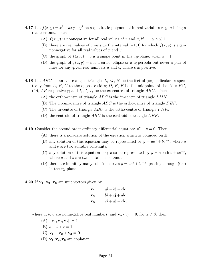- **4.17** Let  $f(x, y) = x^2 axy + y^2$  be a quadratic polynomial in real variables x, y, a being a real constant. Then
	- (A)  $f(x, y)$  is nonnegative for all real values of x and y, if  $-1 \le a \le 1$ .
	- (B) there are real values of a outside the interval  $[-1, 1]$  for which  $f(x, y)$  is again nonnegative for all real values of  $x$  and  $y$ .
	- (C) the graph of  $f(x, y) = 0$  is a single point in the xy-plane, when  $a = 1$ .
	- (D) the graph of  $f(x, y) = c$  is a circle, ellipse or a hyperbola but never a pair of lines for any given real numbers a and c, where c is positive.
- 4.18 Let  $ABC$  be an acute-angled triangle; L, M, N be the feet of perpendiculars respectively from A, B, C to the opposite sides; D, E, F be the midpoints of the sides  $BC$ , CA, AB respectively; and  $I_1$ ,  $I_2$   $I_3$  be the ex-centres of triangle ABC. Then
	- (A) the ortho-centre of triangle  $ABC$  is the in-centre of triangle  $LMN$ .
	- (B) The circum-centre of triangle  $ABC$  is the ortho-centre of triangle  $DEF$ .
	- (C) The in-centre of triangle ABC is the ortho-centre of triangle  $I_1I_2I_3$ .
	- (D) the centroid of triangle  $ABC$  is the centroid of triangle  $DEF$ .
- **4.19** Consider the second order ordinary differential equation:  $y'' y = 0$ . Then
	- (A) there is a non-zero solution of the equation which is bounded on R.
	- (B) any solution of this equation may be represented by  $y = ae^x + be^{-x}$ , where a and b are two suitable constants.
	- (C) any solution of this equation may also be represented by  $y = a \cosh x + be^{-x}$ , where a and b are two suitable constants.
	- (D) there are infinitely many solution curves  $y = ae^x + be^{-x}$ , passing through (0,0) in the xy-plane.
- **4.20** If  $v_1$ ,  $v_2$ ,  $v_3$  are unit vectors given by

$$
\mathbf{v_1} = a\mathbf{i} + b\mathbf{j} + c\mathbf{k}
$$
  
\n
$$
\mathbf{v_2} = b\mathbf{i} + c\mathbf{j} + a\mathbf{k}
$$
  
\n
$$
\mathbf{v_3} = c\mathbf{i} + a\mathbf{j} + b\mathbf{k},
$$

where a, b, c are nonnegative real numbers, and  $\mathbf{v}_{\alpha} \cdot \mathbf{v}_{\beta} = 0$ , for  $\alpha \neq \beta$ , then

- $(A)$   $|[\mathbf{v}_1, \mathbf{v}_2, \mathbf{v}_3]| = 1$
- (B)  $a + b + c = 1$
- (C)  $v_1 + v_2 + v_3 = 0$
- (D)  $\mathbf{v_1}, \mathbf{v_2}, \mathbf{v_3}$  are coplanar.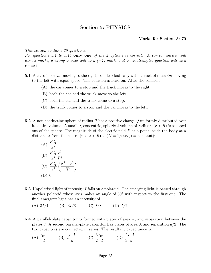# Section 5: PHYSICS

### Marks for Section 5: 70

This section contains 20 questions.

For questions 5.1 to 5.15 only one of the 4 options is correct. A correct answer will earn 3 marks, a wrong answer will earn  $(-1)$  mark, and an unattempted question will earn 0 mark.

- 5.1 A car of mass m, moving to the right, collides elastically with a truck of mass  $3m$  moving to the left with equal speed. The collision is head-on. After the collision
	- (A) the car comes to a stop and the truck moves to the right.
	- (B) both the car and the truck move to the left.
	- (C) both the car and the truck come to a stop.
	- (D) the truck comes to a stop and the car moves to the left.
- 5.2 A non-conducting sphere of radius R has a positive charge Q uniformly distributed over its entire volume. A smaller, concentric, spherical volume of radius  $r (r < R)$  is scooped out of the sphere. The magnitude of the electric field  $E$  at a point inside the body at a distance x from the centre  $(r < x < R)$  is  $(K = 1/(4\pi\epsilon_0) = \text{constant})$ :

(A) 
$$
\frac{KQ}{x^2}
$$
  
\n(B) 
$$
\frac{KQ}{x^2} \frac{r^3}{R^3}
$$
  
\n(C) 
$$
\frac{KQ}{x^2} \left(\frac{x^3 - r^3}{R^3}\right)
$$
  
\n(D) 0

- 5.3 Unpolarised light of intensity I falls on a polaroid. The emerging light is passed through another polaroid whose axis makes an angle of 30◦ with respect to the first one. The final emergent light has an intensity of
	- (A)  $3I/4$  (B)  $3I/8$  (C)  $I/8$  (D)  $I/2$
- 5.4 A parallel-plate capacitor is formed with plates of area A, and separation between the plates d. A second parallel-plate capacitor has plates of area A and separation  $d/2$ . The two capacitors are connected in series. The resultant capacitance is:
	- $(A) \frac{\epsilon_0 A}{\epsilon}$ d (B)  $2\frac{\epsilon_0 A}{l}$ d  $(C) \frac{3}{2}$ 2  $\epsilon_0 A$ d (D)  $\frac{2}{9}$ 3  $\epsilon_0 A$ d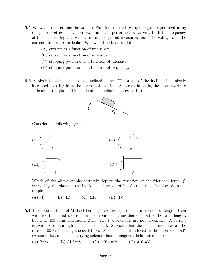- 5.5 We want to determine the value of Planck's constant,  $h$ , by doing an experiment using the photoelectric effect. This experiment is performed by varying both the frequency of the incident light as well as its intensity, and measuring both the voltage and the current. In order to calculate  $h$ , it would be best to plot
	- (A) current as a function of frequency.
	- (B) current as a function of intensity.
	- (C) stopping potential as a function of intensity.
	- (D) stopping potential as a function of frequency.
- **5.6** A block is placed on a rough inclined plane. The angle of the incline,  $\theta$ , is slowly increased, starting from the horizontal position. At a certain angle, the block starts to slide along the plane. The angle of the incline is increased further.



Consider the following graphs:



Which of the above graphs correctly depicts the variation of the frictional force,  $f$ , exerted by the plane on the block, as a function of  $\theta$ ? (Assume that the block does not topple.)

- (A) (I) (B) (II) (C) (III) (D) (IV)
- 5.7 In a repeat of one of Michael Faraday's classic experiments, a solenoid of length 10 cm with 200 turns and radius 1 cm is surrounded by another solenoid of the same length, but with 400 turns and radius 2 cm. The two solenoids are not in contact. A current is switched on through the inner solenoid. Suppose that the current increases at the rate of 100 A s<sup>-1</sup> during the switch-on. What is the emf induced in the outer solenoid? (Assume that a current carrying solenoid has no magnetic field outside it.)

(A) Zero (B) 31.6 mV (C) 126.4 mV (D) 316 mV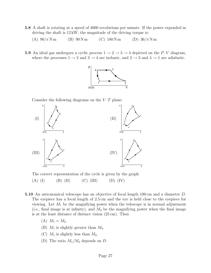- 5.8 A shaft is rotating at a speed of 4000 revolutions per minute. If the power expended in driving the shaft is 12 kW, the magnitude of the driving torque is:
	- (A)  $90/\pi N$  m (B)  $90 N$  m (C)  $180 N$  m (D)  $36/\pi N$  m
- **5.9** An ideal gas undergoes a cyclic process  $1 \rightarrow 2 \rightarrow 3 \rightarrow 4$  depicted on the P–V diagram, where the processes  $1\to 2$  and  $3\to 4$  are isobaric, and  $2\to 3$  and  $4\to 1$  are adiabatic.



Consider the following diagrams on the  $V-T$  plane.



The correct representation of the cycle is given by the graph

(A) (I) (B) (II) (C) (III) (D) (IV)

- 5.10 An astronomical telescope has an objective of focal length 100 cm and a diameter D. The eyepiece has a focal length of 2.5 cm and the eye is held close to the eyepiece for viewing. Let  $M_1$  be the magnifying power when the telescope is in normal adjustment (i.e., final image is at infinity), and  $M_2$  be the magnifying power when the final image is at the least distance of distinct vision (25 cm). Then
	- (A)  $M_1 = M_2$ .
	- (B)  $M_1$  is slightly greater than  $M_2$ .
	- (C)  $M_1$  is slightly less than  $M_2$ .
	- (D) The ratio  $M_1/M_2$  depends on D.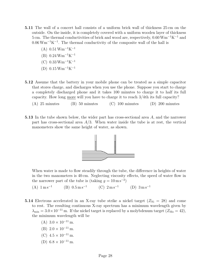- 5.11 The wall of a concert hall consists of a uniform brick wall of thickness 25 cm on the outside. On the inside, it is completely covered with a uniform wooden layer of thickness 5 cm. The thermal conductivities of brick and wood are, respectively,  $0.60 \text{ Wm}^{-1}\text{K}^{-1}$  and  $0.06\,\mathrm{Wm^{-1}K^{-1}}$ . The thermal conductivity of the composite wall of the hall is
	- $(A)$  0.51 Wm<sup>-1</sup>K<sup>-1</sup>
	- $(B)$  0.24 Wm<sup>-1</sup>K<sup>-1</sup>
	- $(C)$  0.33 Wm<sup>-1</sup>K<sup>-1</sup>
	- $(D)$  0.15 Wm<sup>-1</sup>K<sup>-1</sup>
- 5.12 Assume that the battery in your mobile phone can be treated as a simple capacitor that stores charge, and discharges when you use the phone. Suppose you start to charge a completely discharged phone and it takes 100 minutes to charge it to half its full capacity. How long more will you have to charge it to reach 3/4th its full capacity?
	- $(A)$  25 minutes (B) 50 minutes (C) 100 minutes (D) 200 minutes
- 5.13 In the tube shown below, the wider part has cross-sectional area A, and the narrower part has cross-sectional area  $A/3$ . When water inside the tube is at rest, the vertical manometers show the same height of water, as shown.



When water is made to flow steadily through the tube, the difference in heights of water in the two manometers is 40 cm. Neglecting viscosity effects, the speed of water flow in the narrower part of the tube is (taking  $g = 10 \,\mathrm{m\,s^{-2}}$ )

 $(A)$  1 m s<sup>-1</sup> (B)  $0.5 \,\mathrm{m\,s^{-1}}$  $(C) 2 \text{ m s}^{-1}$  (D)  $3 \text{ m s}^{-1}$ 

- 5.14 Electrons accelerated in an X-ray tube strike a nickel target  $(Z_{\text{Ni}} = 28)$  and come to rest. The resulting continuous X-ray spectrum has a minimum wavelength given by  $\lambda_{\min} = 3.0 \times 10^{-11}$  m. If the nickel target is replaced by a molybdenum target  $(Z_{\text{Mo}} = 42)$ , the minimum wavelength will be
	- (A)  $3.0 \times 10^{-11}$  m.
	- (B)  $2.0 \times 10^{-11}$  m.
	- (C)  $4.5 \times 10^{-11}$  m.
	- (D)  $6.8 \times 10^{-11}$  m.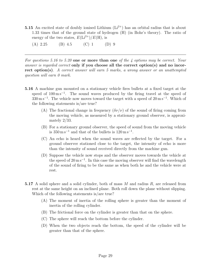- 5.15 An excited state of doubly ionised Lithium  $(Li^{2+})$  has an orbital radius that is about 1.33 times that of the ground state of hydrogen (H) (in Bohr's theory). The ratio of energy of the two states,  $E(\text{Li}^{2+})/E(\text{H})$ , is
	- $(A)$  2.25 (B) 4.5 (C) 1 (D) 9

For questions 5.16 to 5.20 one or more than one of the 4 options may be correct. Your answer is regarded correct only if you choose all the correct option(s) and no incorrect option(s). A correct answer will earn 5 marks, a wrong answer or an unattempted question will earn 0 mark.

- 5.16 A machine gun mounted on a stationary vehicle fires bullets at a fixed target at the speed of  $100 \,\mathrm{m\,s^{-1}}$ . The sound waves produced by the firing travel at the speed of  $330 \,\mathrm{m\,s}^{-1}$ . The vehicle now moves toward the target with a speed of  $20 \,\mathrm{m\,s}^{-1}$ . Which of the following statements is/are true?
	- (A) The fractional change in frequency  $(\delta \nu/\nu)$  of the sound of firing coming from the moving vehicle, as measured by a stationary ground observer, is approximately 2/33.
	- (B) For a stationary ground observer, the speed of sound from the moving vehicle is  $350 \,\mathrm{m\,s^{-1}}$  and that of the bullets is  $120 \,\mathrm{m\,s^{-1}}$ .
	- (C) An echo is heard when the sound waves are reflected by the target. For a ground observer stationed close to the target, the intensity of echo is more than the intensity of sound received directly from the machine gun.
	- (D) Suppose the vehicle now stops and the observer moves towards the vehicle at the speed of  $20 \,\mathrm{m\,s^{-1}}$ . In this case the moving observer will find the wavelength of the sound of firing to be the same as when both he and the vehicle were at rest.
- 5.17 A solid sphere and a solid cylinder, both of mass  $M$  and radius  $R$ , are released from rest at the same height on an inclined plane. Both roll down the plane without slipping. Which of the following statements is/are true?
	- (A) The moment of inertia of the rolling sphere is greater than the moment of inertia of the rolling cylinder.
	- (B) The frictional force on the cylinder is greater than that on the sphere.
	- (C) The sphere will reach the bottom before the cylinder.
	- (D) When the two objects reach the bottom, the speed of the cylinder will be greater than that of the sphere.